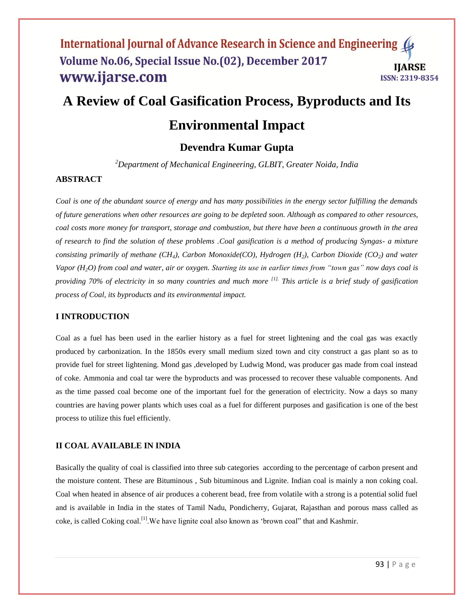# **A Review of Coal Gasification Process, Byproducts and Its**

## **Environmental Impact**

## **Devendra Kumar Gupta**

*<sup>2</sup>Department of Mechanical Engineering, GLBIT, Greater Noida, India*

#### **ABSTRACT**

*Coal is one of the abundant source of energy and has many possibilities in the energy sector fulfilling the demands of future generations when other resources are going to be depleted soon. Although as compared to other resources, coal costs more money for transport, storage and combustion, but there have been a continuous growth in the area of research to find the solution of these problems .Coal gasification is a method of producing Syngas- a mixture consisting primarily of methane (CH4), Carbon Monoxide(CO), Hydrogen (H2), Carbon Dioxide (CO2) and water Vapor (H2O) from coal and water, air or oxygen. Starting its use in earlier times from "town gas" now days coal is providing 70% of electricity in so many countries and much more [1]. This article is a brief study of gasification process of Coal, its byproducts and its environmental impact.*

#### **I INTRODUCTION**

Coal as a fuel has been used in the earlier history as a fuel for street lightening and the coal gas was exactly produced by carbonization. In the 1850s every small medium sized town and city construct a gas plant so as to provide fuel for street lightening. Mond gas ,developed by Ludwig Mond, was producer gas made from coal instead of coke. Ammonia and coal tar were the byproducts and was processed to recover these valuable components. And as the time passed coal become one of the important fuel for the generation of electricity. Now a days so many countries are having power plants which uses coal as a fuel for different purposes and gasification is one of the best process to utilize this fuel efficiently.

#### **II COAL AVAILABLE IN INDIA**

Basically the quality of coal is classified into three sub categories according to the percentage of carbon present and the moisture content. These are Bituminous , Sub bituminous and Lignite. Indian coal is mainly a non coking coal. Coal when heated in absence of air produces a coherent bead, free from volatile with a strong is a potential solid fuel and is available in India in the states of Tamil Nadu, Pondicherry, Gujarat, Rajasthan and porous mass called as coke, is called Coking coal.[1].We have lignite coal also known as 'brown coal" that and Kashmir.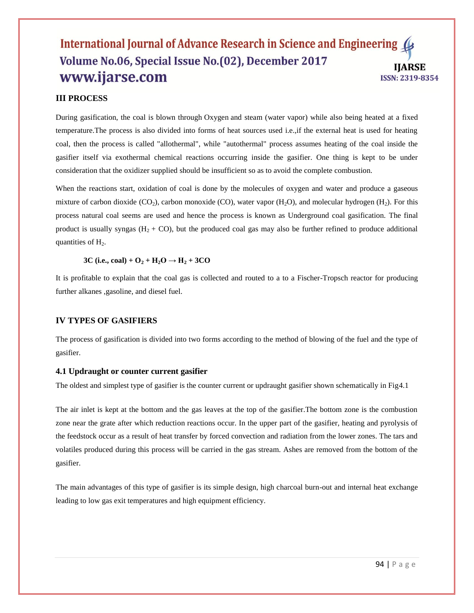## **III PROCESS**

During gasification, the coal is blown through Oxygen and steam (water vapor) while also being heated at a fixed temperature.The process is also divided into forms of heat sources used i.e.,if the external heat is used for heating coal, then the process is called "allothermal", while "autothermal" process assumes heating of the coal inside the gasifier itself via exothermal chemical reactions occurring inside the gasifier. One thing is kept to be under consideration that the oxidizer supplied should be insufficient so as to avoid the complete combustion.

When the reactions start, oxidation of coal is done by the molecules of oxygen and water and produce a gaseous mixture of carbon dioxide  $(CO_2)$ , [carbon monoxide](http://en.wikipedia.org/wiki/Carbon_monoxide)  $(CO)$ , [water vapor](http://en.wikipedia.org/wiki/Water_vapour)  $(H_2O)$ , and [molecular hydrogen](http://en.wikipedia.org/wiki/Molecular_hydrogen)  $(H_2)$ . For this process natural coal seems are used and hence the process is known as Underground coal gasification. The final product is usually syngas  $(H_2 + CO)$ , but the produced coal gas may also be further refined to produce additional quantities of  $H_2$ .

**3C** (i.e., coal) +  $O_2$  +  $H_2O \rightarrow H_2$  + 3CO

It is profitable to explain that the coal gas is collected and routed to a to a Fischer-Tropsch reactor for producing further alkanes [,gasoline,](http://en.wikipedia.org/wiki/Gasoline) and [diesel fuel.](http://en.wikipedia.org/wiki/Diesel_fuel)

#### **IV TYPES OF GASIFIERS**

The process of gasification is divided into two forms according to the method of blowing of the fuel and the type of gasifier.

#### **4.1 Updraught or counter current gasifier**

The oldest and simplest type of gasifier is the counter current or updraught gasifier shown schematically in Fig4.1

The air inlet is kept at the bottom and the gas leaves at the top of the gasifier.The bottom zone is the combustion zone near the grate after which reduction reactions occur. In the upper part of the gasifier, heating and pyrolysis of the feedstock occur as a result of heat transfer by forced convection and radiation from the lower zones. The tars and volatiles produced during this process will be carried in the gas stream. Ashes are removed from the bottom of the gasifier.

The main advantages of this type of gasifier is its simple design, high charcoal burn-out and internal heat exchange leading to low gas exit temperatures and high equipment efficiency.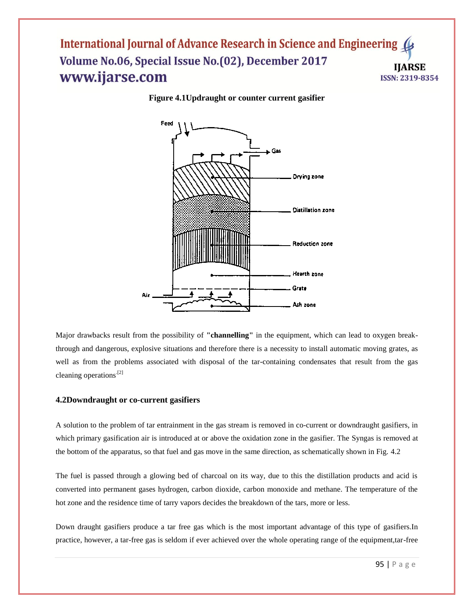

**Figure 4.1Updraught or counter current gasifier**

Major drawbacks result from the possibility of **"channelling"** in the equipment, which can lead to oxygen breakthrough and dangerous, explosive situations and therefore there is a necessity to install automatic moving grates, as well as from the problems associated with disposal of the tar-containing condensates that result from the gas cleaning operations.[2]

#### **4.2Downdraught or co-current gasifiers**

A solution to the problem of tar entrainment in the gas stream is removed in co-current or downdraught gasifiers, in which primary gasification air is introduced at or above the oxidation zone in the gasifier. The Syngas is removed at the bottom of the apparatus, so that fuel and gas move in the same direction, as schematically shown in Fig. 4.2

The fuel is passed through a glowing bed of charcoal on its way, due to this the distillation products and acid is converted into permanent gases hydrogen, carbon dioxide, carbon monoxide and methane. The temperature of the hot zone and the residence time of tarry vapors decides the breakdown of the tars, more or less.

Down draught gasifiers produce a tar free gas which is the most important advantage of this type of gasifiers.In practice, however, a tar-free gas is seldom if ever achieved over the whole operating range of the equipment,tar-free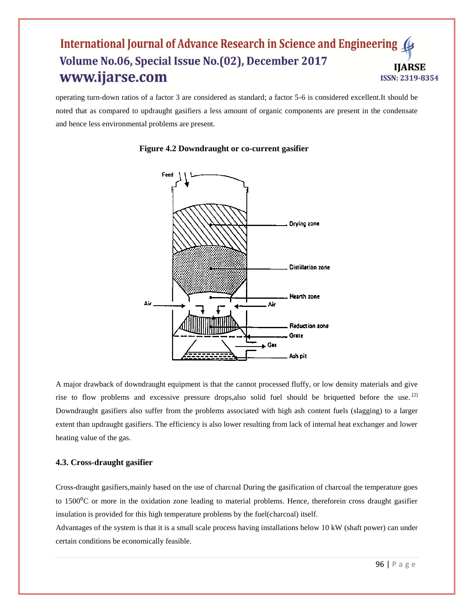operating turn-down ratios of a factor 3 are considered as standard; a factor 5-6 is considered excellent.It should be noted that as compared to updraught gasifiers a less amount of organic components are present in the condensate and hence less environmental problems are present.



#### **Figure 4.2 Downdraught or co-current gasifier**

A major drawback of downdraught equipment is that the cannot processed fluffy, or low density materials and give rise to flow problems and excessive pressure drops, also solid fuel should be briquetted before the use.<sup>[2]</sup> Downdraught gasifiers also suffer from the problems associated with high ash content fuels (slagging) to a larger extent than updraught gasifiers. The efficiency is also lower resulting from lack of internal heat exchanger and lower heating value of the gas.

## **4.3. Cross-draught gasifier**

Cross-draught gasifiers,mainly based on the use of charcoal During the gasification of charcoal the temperature goes to 1500<sup>o</sup>C or more in the oxidation zone leading to material problems. Hence, thereforein cross draught gasifier insulation is provided for this high temperature problems by the fuel(charcoal) itself.

Advantages of the system is that it is a small scale process having installations below 10 kW (shaft power) can under certain conditions be economically feasible.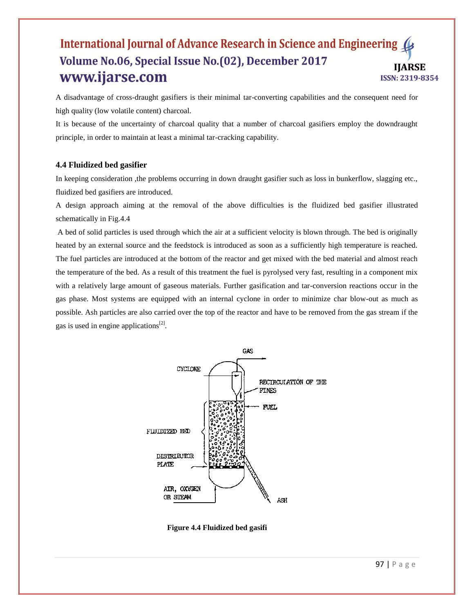A disadvantage of cross-draught gasifiers is their minimal tar-converting capabilities and the consequent need for high quality (low volatile content) charcoal.

It is because of the uncertainty of charcoal quality that a number of charcoal gasifiers employ the downdraught principle, in order to maintain at least a minimal tar-cracking capability.

#### **4.4 Fluidized bed gasifier**

In keeping consideration ,the problems occurring in down draught gasifier such as loss in bunkerflow, slagging etc., fluidized bed gasifiers are introduced.

A design approach aiming at the removal of the above difficulties is the fluidized bed gasifier illustrated schematically in Fig.4.4

A bed of solid particles is used through which the air at a sufficient velocity is blown through. The bed is originally heated by an external source and the feedstock is introduced as soon as a sufficiently high temperature is reached. The fuel particles are introduced at the bottom of the reactor and get mixed with the bed material and almost reach the temperature of the bed. As a result of this treatment the fuel is pyrolysed very fast, resulting in a component mix with a relatively large amount of gaseous materials. Further gasification and tar-conversion reactions occur in the gas phase. Most systems are equipped with an internal cyclone in order to minimize char blow-out as much as possible. Ash particles are also carried over the top of the reactor and have to be removed from the gas stream if the gas is used in engine applications $^{[2]}$ .



**Figure 4.4 Fluidized bed gasifi**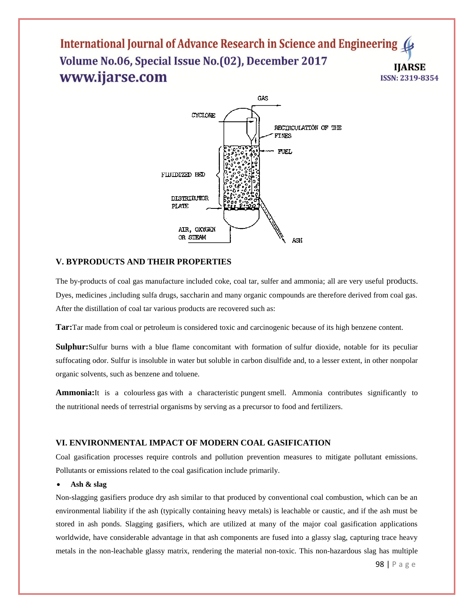

### **V. BYPRODUCTS AND THEIR PROPERTIES**

The by-products of coal gas manufacture included coke, coal tar, sulfer and ammonia; all are very useful products. Dyes, medicines ,including sulfa drugs, saccharin and many organic compounds are therefore derived from coal gas. After the distillation of coal tar various products are recovered such as:

**Tar:**Tar made from coal or petroleum is considered [toxic](http://en.wikipedia.org/wiki/Toxic) and [carcinogenic](http://en.wikipedia.org/wiki/Carcinogenic) because of its high [benzene](http://en.wikipedia.org/wiki/Benzene) content.

**Sulphur:**Sulfur burns with a blue flame concomitant with formation of [sulfur dioxide,](http://en.wikipedia.org/wiki/Sulfur_dioxide) notable for its peculiar suffocating odor. Sulfur is insoluble in water but soluble in [carbon disulfide](http://en.wikipedia.org/wiki/Carbon_disulfide) and, to a lesser extent, in other nonpolar organic solvents, such as [benzene](http://en.wikipedia.org/wiki/Benzene) and [toluene.](http://en.wikipedia.org/wiki/Toluene)

**Ammonia:**It is a colourless [gas](http://en.wikipedia.org/wiki/Gas) with a characteristic [pungent](http://en.wikipedia.org/wiki/Pungent) [smell.](http://en.wikipedia.org/wiki/Odor) Ammonia contributes significantly to the [nutritional](http://en.wikipedia.org/wiki/Nutrition) needs of terrestrial organisms by serving as a precursor to [food](http://en.wikipedia.org/wiki/Food) and [fertilizers.](http://en.wikipedia.org/wiki/Fertilizer)

#### **VI. ENVIRONMENTAL IMPACT OF MODERN COAL GASIFICATION**

Coal gasification processes require controls and pollution prevention measures to mitigate pollutant emissions. Pollutants or emissions related to the coal gasification include primarily.

#### **Ash & slag**

Non-slagging gasifiers produce dry ash similar to that produced by conventional coal combustion, which can be an environmental liability if the ash (typically containing heavy metals) is leachable or caustic, and if the ash must be stored in ash ponds. Slagging gasifiers, which are utilized at many of the major coal gasification applications worldwide, have considerable advantage in that ash components are fused into a glassy slag, capturing trace heavy metals in the non-leachable glassy matrix, rendering the material non-toxic. This non-hazardous slag has multiple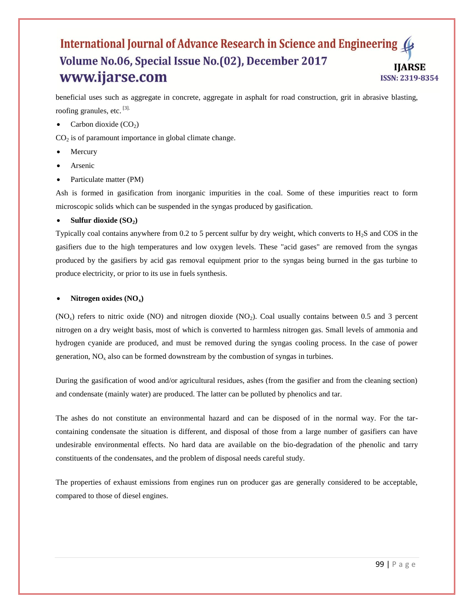beneficial uses such as aggregate in concrete, aggregate in asphalt for road construction, grit in abrasive blasting, roofing granules, etc. [3].

Carbon dioxide  $(CO<sub>2</sub>)$ 

 $CO<sub>2</sub>$  is of paramount importance in global climate change.

- Mercury
- Arsenic
- Particulate matter (PM)

Ash is formed in gasification from inorganic impurities in the coal. Some of these impurities react to form microscopic solids which can be suspended in the syngas produced by gasification.

#### **Sulfur dioxide (SO2)**

Typically coal contains anywhere from  $0.2$  to 5 percent sulfur by dry weight, which converts to  $H_2S$  and COS in the gasifiers due to the high temperatures and low oxygen levels. These "acid gases" are removed from the syngas produced by the gasifiers by acid gas removal equipment prior to the syngas being burned in the gas turbine to produce electricity, or prior to its use in fuels synthesis.

#### **Nitrogen oxides (NOx)**

 $(NO<sub>x</sub>)$  refers to nitric oxide  $(NO)$  and nitrogen dioxide  $(NO<sub>2</sub>)$ . Coal usually contains between 0.5 and 3 percent nitrogen on a dry weight basis, most of which is converted to harmless nitrogen gas. Small levels of ammonia and hydrogen cyanide are produced, and must be removed during the syngas cooling process. In the case of power generation,  $NO<sub>x</sub>$  also can be formed downstream by the combustion of syngas in turbines.

During the gasification of wood and/or agricultural residues, ashes (from the gasifier and from the cleaning section) and condensate (mainly water) are produced. The latter can be polluted by phenolics and tar.

The ashes do not constitute an environmental hazard and can be disposed of in the normal way. For the tarcontaining condensate the situation is different, and disposal of those from a large number of gasifiers can have undesirable environmental effects. No hard data are available on the bio-degradation of the phenolic and tarry constituents of the condensates, and the problem of disposal needs careful study.

The properties of exhaust emissions from engines run on producer gas are generally considered to be acceptable, compared to those of diesel engines.